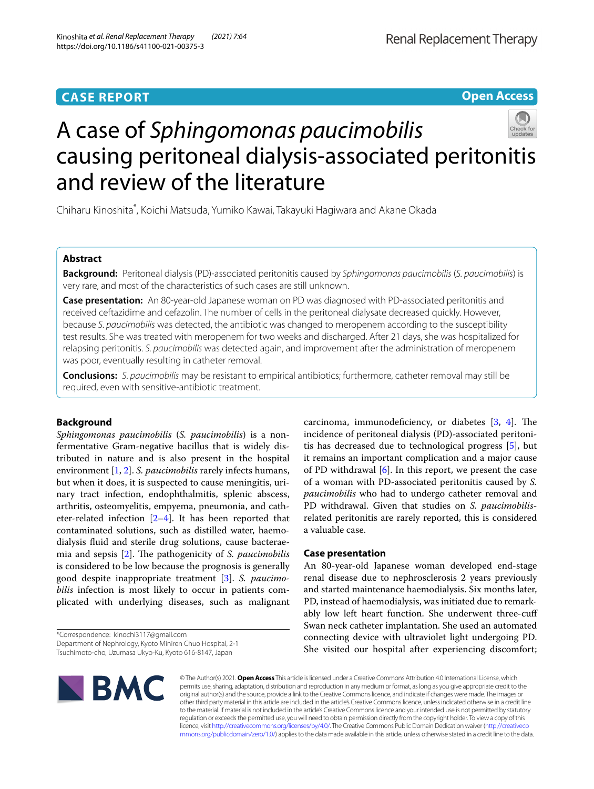# **CASE REPORT**

# Renal Replacement Therapy

**Open Access**



# A case of *Sphingomonas paucimobilis* causing peritoneal dialysis-associated peritonitis and review of the literature

Chiharu Kinoshita\* , Koichi Matsuda, Yumiko Kawai, Takayuki Hagiwara and Akane Okada

# **Abstract**

**Background:** Peritoneal dialysis (PD)-associated peritonitis caused by *Sphingomonas paucimobilis* (*S. paucimobilis*) is very rare, and most of the characteristics of such cases are still unknown.

**Case presentation:** An 80-year-old Japanese woman on PD was diagnosed with PD-associated peritonitis and received ceftazidime and cefazolin. The number of cells in the peritoneal dialysate decreased quickly. However, because *S. paucimobilis* was detected, the antibiotic was changed to meropenem according to the susceptibility test results. She was treated with meropenem for two weeks and discharged. After 21 days, she was hospitalized for relapsing peritonitis. *S. paucimobilis* was detected again, and improvement after the administration of meropenem was poor, eventually resulting in catheter removal.

**Conclusions:** *S. paucimobilis* may be resistant to empirical antibiotics; furthermore, catheter removal may still be required, even with sensitive-antibiotic treatment.

# **Background**

*Sphingomonas paucimobilis* (*S. paucimobilis*) is a nonfermentative Gram-negative bacillus that is widely distributed in nature and is also present in the hospital environment [[1,](#page-6-0) [2](#page-6-1)]. *S. paucimobilis* rarely infects humans, but when it does, it is suspected to cause meningitis, urinary tract infection, endophthalmitis, splenic abscess, arthritis, osteomyelitis, empyema, pneumonia, and catheter-related infection [\[2](#page-6-1)[–4](#page-6-2)]. It has been reported that contaminated solutions, such as distilled water, haemodialysis fuid and sterile drug solutions, cause bacterae-mia and sepsis [[2\]](#page-6-1). The pathogenicity of *S. paucimobilis* is considered to be low because the prognosis is generally good despite inappropriate treatment [[3\]](#page-6-3). *S. paucimobilis* infection is most likely to occur in patients complicated with underlying diseases, such as malignant

\*Correspondence: kinochi3117@gmail.com Department of Nephrology, Kyoto Miniren Chuo Hospital, 2-1

Tsuchimoto-cho, Uzumasa Ukyo-Ku, Kyoto 616-8147, Japan

of PD withdrawal  $[6]$  $[6]$ . In this report, we present the case of a woman with PD-associated peritonitis caused by *S. paucimobilis* who had to undergo catheter removal and PD withdrawal. Given that studies on *S. paucimobilis*related peritonitis are rarely reported, this is considered a valuable case. **Case presentation**

carcinoma, immunodeficiency, or diabetes  $[3, 4]$  $[3, 4]$  $[3, 4]$  $[3, 4]$ . The incidence of peritoneal dialysis (PD)-associated peritonitis has decreased due to technological progress [[5\]](#page-6-4), but it remains an important complication and a major cause

An 80-year-old Japanese woman developed end-stage renal disease due to nephrosclerosis 2 years previously and started maintenance haemodialysis. Six months later, PD, instead of haemodialysis, was initiated due to remarkably low left heart function. She underwent three-cuff Swan neck catheter implantation. She used an automated connecting device with ultraviolet light undergoing PD. She visited our hospital after experiencing discomfort;



© The Author(s) 2021. **Open Access** This article is licensed under a Creative Commons Attribution 4.0 International License, which permits use, sharing, adaptation, distribution and reproduction in any medium or format, as long as you give appropriate credit to the original author(s) and the source, provide a link to the Creative Commons licence, and indicate if changes were made. The images or other third party material in this article are included in the article's Creative Commons licence, unless indicated otherwise in a credit line to the material. If material is not included in the article's Creative Commons licence and your intended use is not permitted by statutory regulation or exceeds the permitted use, you will need to obtain permission directly from the copyright holder. To view a copy of this licence, visit [http://creativecommons.org/licenses/by/4.0/.](http://creativecommons.org/licenses/by/4.0/) The Creative Commons Public Domain Dedication waiver ([http://creativeco](http://creativecommons.org/publicdomain/zero/1.0/) [mmons.org/publicdomain/zero/1.0/](http://creativecommons.org/publicdomain/zero/1.0/)) applies to the data made available in this article, unless otherwise stated in a credit line to the data.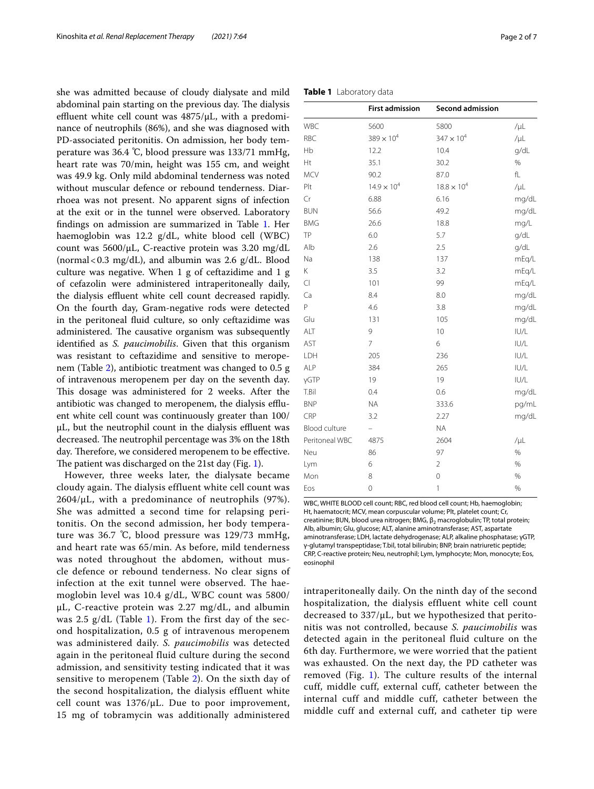she was admitted because of cloudy dialysate and mild abdominal pain starting on the previous day. The dialysis effluent white cell count was  $4875/\mu L$ , with a predominance of neutrophils (86%), and she was diagnosed with PD-associated peritonitis. On admission, her body temperature was 36.4 ℃, blood pressure was 133/71 mmHg, heart rate was 70/min, height was 155 cm, and weight was 49.9 kg. Only mild abdominal tenderness was noted without muscular defence or rebound tenderness. Diarrhoea was not present. No apparent signs of infection at the exit or in the tunnel were observed. Laboratory fndings on admission are summarized in Table [1.](#page-1-0) Her haemoglobin was 12.2 g/dL, white blood cell (WBC) count was 5600/μL, C-reactive protein was 3.20 mg/dL (normal  $< 0.3$  mg/dL), and albumin was 2.6  $g/dL$ . Blood culture was negative. When 1 g of ceftazidime and 1 g of cefazolin were administered intraperitoneally daily, the dialysis effluent white cell count decreased rapidly. On the fourth day, Gram-negative rods were detected in the peritoneal fuid culture, so only ceftazidime was administered. The causative organism was subsequently identifed as *S. paucimobilis*. Given that this organism was resistant to ceftazidime and sensitive to meropenem (Table [2](#page-2-0)), antibiotic treatment was changed to 0.5 g of intravenous meropenem per day on the seventh day. This dosage was administered for 2 weeks. After the antibiotic was changed to meropenem, the dialysis effluent white cell count was continuously greater than 100/  $\mu$ L, but the neutrophil count in the dialysis effluent was decreased. The neutrophil percentage was 3% on the 18th day. Therefore, we considered meropenem to be effective. The patient was discharged on the 21st day (Fig. [1\)](#page-2-1).

However, three weeks later, the dialysate became cloudy again. The dialysis effluent white cell count was  $2604/\mu L$ , with a predominance of neutrophils (97%). She was admitted a second time for relapsing peritonitis. On the second admission, her body temperature was 36.7 ℃, blood pressure was 129/73 mmHg, and heart rate was 65/min. As before, mild tenderness was noted throughout the abdomen, without muscle defence or rebound tenderness. No clear signs of infection at the exit tunnel were observed. The haemoglobin level was 10.4 g/dL, WBC count was 5800/ μL, C-reactive protein was 2.27 mg/dL, and albumin was  $2.5$  g/dL (Table [1\)](#page-1-0). From the first day of the second hospitalization, 0.5 g of intravenous meropenem was administered daily. *S. paucimobilis* was detected again in the peritoneal fluid culture during the second admission, and sensitivity testing indicated that it was sensitive to meropenem (Table [2\)](#page-2-0). On the sixth day of the second hospitalization, the dialysis effluent white cell count was  $1376/\mu L$ . Due to poor improvement, 15 mg of tobramycin was additionally administered

## <span id="page-1-0"></span>**Table 1** Laboratory data

|                | <b>First admission</b> | Second admission     |           |
|----------------|------------------------|----------------------|-----------|
| WBC            | 5600                   | 5800                 | $/ \mu L$ |
| RBC            | $389 \times 10^{4}$    | $347 \times 10^{4}$  | $/ \mu L$ |
| Hb             | 12.2                   | 10.4                 | g/dL      |
| Ht             | 35.1                   | 30.2                 | $\%$      |
| MCV            | 90.2                   | 87.0                 | fL        |
| Plt            | $14.9 \times 10^{4}$   | $18.8 \times 10^{4}$ | $/ \mu L$ |
| Cr             | 6.88                   | 6.16                 | mg/dL     |
| <b>BUN</b>     | 56.6                   | 49.2                 | mg/dL     |
| <b>BMG</b>     | 26.6                   | 18.8                 | mg/L      |
| TP             | 6.0                    | 5.7                  | g/dL      |
| Alb            | 2.6                    | 2.5                  | q/dL      |
| Na             | 138                    | 137                  | mEq/L     |
| Κ              | 3.5                    | 3.2                  | mEq/L     |
| CI             | 101                    | 99                   | mEg/L     |
| Ca             | 8.4                    | 8.0                  | mg/dL     |
| P              | 4.6                    | 3.8                  | mg/dL     |
| Glu            | 131                    | 105                  | mg/dL     |
| ALT            | 9                      | 10                   | IUI/L     |
| AST            | $\overline{7}$         | 6                    | IUI/L     |
| LDH            | 205                    | 236                  | U/L       |
| <b>ALP</b>     | 384                    | 265                  | IUI/L     |
| γGTP           | 19                     | 19                   | IUI/L     |
| T.Bil          | 0.4                    | 0.6                  | mg/dL     |
| <b>BNP</b>     | <b>NA</b>              | 333.6                | pg/mL     |
| CRP            | 3.2                    | 2.27                 | mg/dL     |
| Blood culture  |                        | <b>NA</b>            |           |
| Peritoneal WBC | 4875                   | 2604                 | $/ \mu L$ |
| Neu            | 86                     | 97                   | %         |
| Lym            | 6                      | $\sqrt{2}$           | %         |
| Mon            | 8                      | $\circ$              | $\%$      |
| Eos            | $\circ$                | $\mathbf{1}$         | $\%$      |

WBC, WHITE BLOOD cell count; RBC, red blood cell count; Hb, haemoglobin; Ht, haematocrit; MCV, mean corpuscular volume; Plt, platelet count; Cr, creatinine; BUN, blood urea nitrogen; BMG,  $β_2$  macroglobulin; TP, total protein; Alb, albumin; Glu, glucose; ALT, alanine aminotransferase; AST, aspartate aminotransferase; LDH, lactate dehydrogenase; ALP, alkaline phosphatase; γGTP, γ-glutamyl transpeptidase; T.bil, total bilirubin; BNP, brain natriuretic peptide; CRP, C-reactive protein; Neu, neutrophil; Lym, lymphocyte; Mon, monocyte; Eos, eosinophil

intraperitoneally daily. On the ninth day of the second hospitalization, the dialysis effluent white cell count decreased to 337/μL, but we hypothesized that peritonitis was not controlled, because *S. paucimobilis* was detected again in the peritoneal fluid culture on the 6th day. Furthermore, we were worried that the patient was exhausted. On the next day, the PD catheter was removed (Fig.  $1$ ). The culture results of the internal cuff, middle cuff, external cuff, catheter between the internal cuff and middle cuff, catheter between the middle cuff and external cuff, and catheter tip were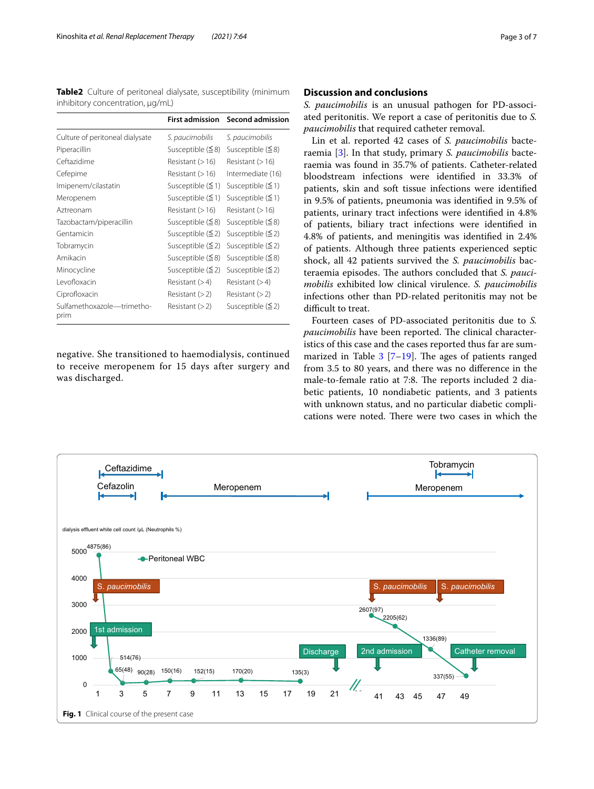<span id="page-2-0"></span>**Table2** Culture of peritoneal dialysate, susceptibility (minimum inhibitory concentration, μg/mL)

|                                    | <b>First admission</b>  | <b>Second admission</b> |
|------------------------------------|-------------------------|-------------------------|
| Culture of peritoneal dialysate    | S. paucimobilis         | S. paucimobilis         |
| Piperacillin                       | Susceptible $( \leq 8)$ | Susceptible $(58)$      |
| Ceftazidime                        | Resistant $(>16)$       | Resistant (> 16)        |
| Cefepime                           | Resistant $(>16)$       | Intermediate (16)       |
| Imipenem/cilastatin                | Susceptible $(\leq 1)$  | Susceptible $(1)$       |
| Meropenem                          | Susceptible $(\leq 1)$  | Susceptible $(\leq 1)$  |
| Aztreonam                          | Resistant $(>16)$       | Resistant (> 16)        |
| Tazobactam/piperacillin            | Susceptible $( \leq 8)$ | Susceptible $(58)$      |
| Gentamicin                         | Susceptible $(2)$       | Susceptible $(2)$       |
| Tobramycin                         | Susceptible $(2)$       | Susceptible $(2)$       |
| Amikacin                           | Susceptible $( \leq 8)$ | Susceptible $(58)$      |
| Minocycline                        | Susceptible $(2)$       | Susceptible $(2)$       |
| Levofloxacin                       | Resistant $(>4)$        | Resistant (>4)          |
| Ciprofloxacin                      | Resistant $(>2)$        | Resistant (> 2)         |
| Sulfamethoxazole-trimetho-<br>prim | Resistant $(>2)$        | Susceptible $(2)$       |

negative. She transitioned to haemodialysis, continued to receive meropenem for 15 days after surgery and was discharged.

# **Discussion and conclusions**

*S. paucimobilis* is an unusual pathogen for PD-associated peritonitis. We report a case of peritonitis due to *S. paucimobilis* that required catheter removal.

Lin et al. reported 42 cases of *S. paucimobilis* bacteraemia [\[3](#page-6-3)]. In that study, primary *S. paucimobilis* bacteraemia was found in 35.7% of patients. Catheter-related bloodstream infections were identifed in 33.3% of patients, skin and soft tissue infections were identifed in 9.5% of patients, pneumonia was identifed in 9.5% of patients, urinary tract infections were identifed in 4.8% of patients, biliary tract infections were identifed in 4.8% of patients, and meningitis was identifed in 2.4% of patients. Although three patients experienced septic shock, all 42 patients survived the *S. paucimobilis* bacteraemia episodes. The authors concluded that *S. paucimobilis* exhibited low clinical virulence. *S. paucimobilis* infections other than PD-related peritonitis may not be difficult to treat.

Fourteen cases of PD-associated peritonitis due to *S. paucimobilis* have been reported. The clinical characteristics of this case and the cases reported thus far are summarized in Table  $3$  [[7–](#page-6-6)[19](#page-6-7)]. The ages of patients ranged from 3.5 to 80 years, and there was no diference in the male-to-female ratio at 7:8. The reports included 2 diabetic patients, 10 nondiabetic patients, and 3 patients with unknown status, and no particular diabetic complications were noted. There were two cases in which the

<span id="page-2-1"></span>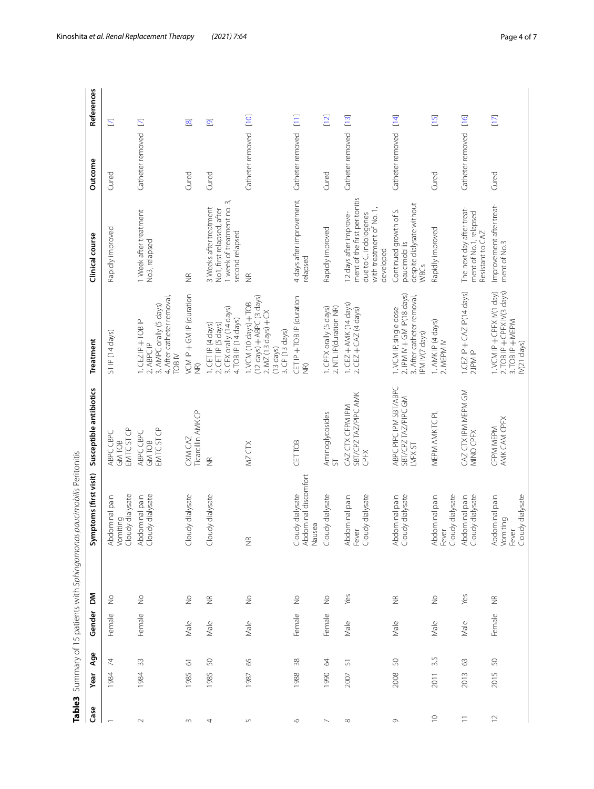|                          |          |                    |        |                          | Table3 Summary of 15 patients with Sphingomonas paucimobilis Peritonitis |                                                          |                                                                                                                                        |                                                                                                                           |                  |                         |
|--------------------------|----------|--------------------|--------|--------------------------|--------------------------------------------------------------------------|----------------------------------------------------------|----------------------------------------------------------------------------------------------------------------------------------------|---------------------------------------------------------------------------------------------------------------------------|------------------|-------------------------|
| Case                     | Year     | Age                | Gender | Σ                        | mptoms (first visit)<br>Šξ                                               | Susceptible antibiotics                                  | Treatment                                                                                                                              | Clinical course                                                                                                           | Outcome          | References              |
|                          | 1984     | 74                 | Female | $\geq$                   | Abdominal pain<br>Vomiting<br>Cloudy dialysate                           | EM TC ST CP<br>ABPC CBPC<br><b>GMTOB</b>                 | STIP (14 days)                                                                                                                         | Rapidly improved                                                                                                          | Cured            | $\mathbb E$             |
| $\sim$                   | 1984     | 33                 | Female | $\frac{1}{2}$            | Abdominal pain<br>Cloudy dialysate                                       | EM TC ST CP<br>ABPC CBPC<br><b>GMTOB</b>                 | 4. After catheter removal,<br>3. AMPC orally (5 days)<br>1. CEZ IP + TOB IP<br>2. ABPC IP<br>TOB <sub>IV</sub>                         | 1 Week after treatment<br>No <sub>3</sub> , relapsed                                                                      | Catheter removed | $\mathbf{E}$            |
| $\sim$                   | 1985     | $\overline{\circ}$ | Male   | $\geq$                   | Cloudy dialysate                                                         | Ticarcillin AMK CP<br>CXM CAZ                            | VCM IP + GM IP (duration<br>$\frac{\widehat{\alpha}}{Z}$                                                                               | $\widetilde{\Xi}$                                                                                                         | Cured            | $\overline{\infty}$     |
| 4                        | 1985     | 50                 | Male   | $\widetilde{\Xi}$        | Cloudy dialysate                                                         | $\frac{\alpha}{2}$                                       | 3. CEX orally (14 days)<br>4. TOB IP (14 days)<br>1. CET IP (4 days)<br>2. CET IP (5 days)                                             | 1 week of treatment no. 3,<br>3 Weeks after treatment<br>No1, first relapsed, after<br>second relapsed                    | Cured            | $\overline{\mathbf{e}}$ |
| 5                        | 1987     | 65                 | Male   | $\stackrel{\circ}{\geq}$ | $\widetilde{\Xi}$                                                        | MZ CTX                                                   | $(12 \text{ days}) + \text{ABPC}$ (3 days)<br>1. VCM (10 days) + TOB<br>2. MZ (13 days) + CX<br>3. CP (13 days)<br>$(13 \text{ days})$ | $\widetilde{\Xi}$                                                                                                         | Catheter removed | $[10]$                  |
| $\circ$                  | 988      | 38                 | Female | $\stackrel{\circ}{\geq}$ | Cloudy dialysate<br>Abdominal discomfort<br>Nausea                       | <b>CETTOB</b>                                            | CET IP + TOB IP (duration<br>$\frac{\infty}{2}$                                                                                        | 4 days after improvement,<br>relapsed                                                                                     | Catheter removed | $\Xi$                   |
| $\overline{\phantom{a}}$ | 1990     | $\sqrt{2}$         | Female | $\stackrel{\circ}{\geq}$ | Cloudy dialysate                                                         | Aminoglycosides<br>능                                     | 2. NTL IP(duration NR)<br>1. CPFX orally (5 days)                                                                                      | Rapidly improved                                                                                                          | Cured            | [12]                    |
| $\infty$                 | 2007     | 5                  | Male   | Yes                      | Cloudy dialysate<br>Abdominal pain<br>Fever                              | SBT/CPZ TAZ/PIPC AMK<br>CAZ CTX CFPM IPM<br>CPFX         | 1. CEZ + AMK (14 days)<br>2. CEZ + CAZ (4 days)                                                                                        | ment of the first peritonitis<br>with treatment of No. 1,<br>12 days after improve-<br>due to C. indologenes<br>developed | Catheter removed | $[13]$                  |
| $\circ$                  | 2008     | ${\mathbb S}^0$    | Male   | $\widetilde{\Xi}$        | Abdominal pain<br>Cloudy dialysate                                       | ABPC PIPC IPM SBT/ABPC<br>SBT/CPZ TAZ/PIPC GM<br>LVFX ST | 2. IPM IV + GM IP(18 days)<br>3. After catheter removal<br>1. VCM IP, single dose<br>IPM IV(7 days)                                    | despite dialysate without<br>Continued growth of S.<br>paucimobilis<br><b>WBCs</b>                                        | Catheter removed | $[14]$                  |
| $\supseteq$              | 2011     | 3.5                | Male   | $\frac{1}{2}$            | Abdominal pain<br>Cloudy dialysate<br>Fever                              | MEPM AMK TC PL                                           | 1. AMK IP (4 days)<br>2. MEPM IV                                                                                                       | Rapidly improved                                                                                                          | Cured            | $[15]$                  |
| $\equiv$                 | S<br>201 | 3                  | Male   | Yes                      | Abdominal pain<br>Cloudy dialysate                                       | CAZ CTX IPM MEPM GM<br>MINO CPFX                         | 1.CEZ IP + CAZ IP(14 days)<br>2.IPM IP                                                                                                 | The next day after treat-<br>ment of No.1, relapsed<br>Resistant to CAZ                                                   | Catheter removed | [16]                    |
| $\mathrel{\supseteq}$    | 2015     | SO                 | Female | $\frac{\alpha}{2}$       | Fever<br>Cloudy dialysate<br>Abdominal pain<br>Vomiting                  | AMK CAM CPFX<br>CFPM MEPM                                | 2. TOB IP + CPFX IV(3 days)<br>1. VCM IP + CPFX IV(1 day)<br>3. TOB IP + MEPM<br>IV(21 days)                                           | Improvement after treat-<br>ment of No.3                                                                                  | Cured            | $[17]$                  |

<span id="page-3-0"></span>Table3 Summary of 15 patients with Sphingomonas paucimobilis Peritonitis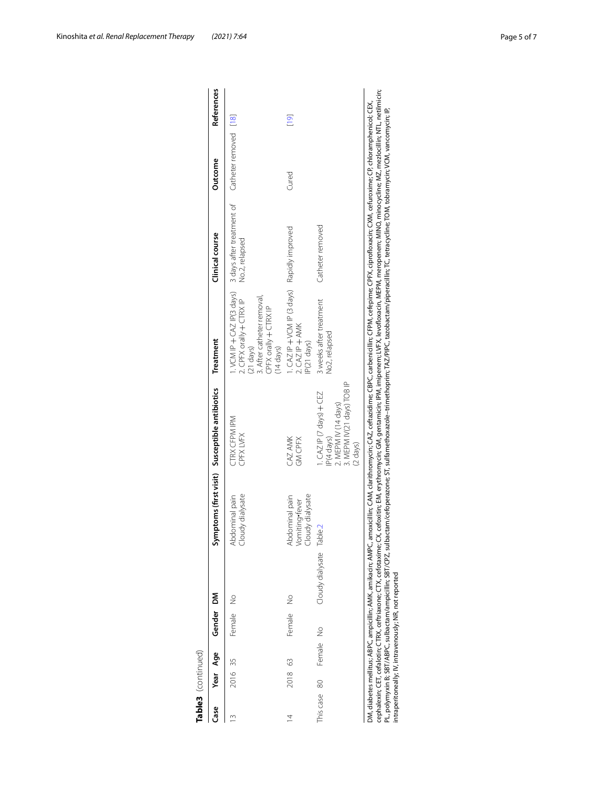| Cloudy dialysate<br>Abdominal pain                      | <b>CTRX CFPM IPM</b><br>CPFX LVFX                                                                                | I.VCM IP + CAZ IP(3 days)<br>3. After catheter removal,<br>2. CPFX orally $+$ CTRX IP<br>CPFX orally + CTRX IP<br>$(21$ days)<br>$(14 \text{ days})$ | 3 days after treatment of<br>No.2, relapsed | Catheter removed [18]                   |                |
|---------------------------------------------------------|------------------------------------------------------------------------------------------------------------------|------------------------------------------------------------------------------------------------------------------------------------------------------|---------------------------------------------|-----------------------------------------|----------------|
| dialysate<br>Abdominal pain<br>Vomiting•fever<br>Cloudy | CAZ AMK<br>GM CPFX                                                                                               | $2. CAZ IP + ANK$<br>IP(21 days)                                                                                                                     |                                             | Cured                                   | $\frac{6}{10}$ |
|                                                         | 3. MEPM IV(21 days) TOB IP<br>I.CAZIP (7 days) + CEZ<br>2. MEPM IV (14 days)<br>IP(4 days)<br>$(2 \text{ days})$ | 3 weeks after treatment<br>No2, relapsed                                                                                                             | Catheter removed                            |                                         |                |
|                                                         | Cloudy dialysate Table.2                                                                                         |                                                                                                                                                      |                                             | CAZIP +VCM IP (3 days) Rapidly improved |                |

| moxicillin; CAM, clarithromycin; CAZ, ceftazidime; CBPC, carbenicillin; CFPM, cefepime; CPFX, ciprofloxacin; CXM, cefuroxime; CP, chloramphenicol; CEX,<br>liabetes mellitus; ABPC, ampicillin; AMK, amikacin; AMPC, ar    |
|----------------------------------------------------------------------------------------------------------------------------------------------------------------------------------------------------------------------------|
| X, cefoxitim; EM, erythromycin; GM, gentamicin; IPM, imipenem; LVFX, levofloxacin, MEPM, meropenem; MINO, minocycline; MZ, mezlocillin; NTL, netilmicin;<br>alexin; CET, cefalotin; CTRX, ceftriaxone; CTX, cefotaxime; CX |
| actam/cefoperazone; ST, sulfamethoxazole-trimethoprim; TAZ/PIPC, tazobactam/piperacillin; TC, tetracycline; TOM, tobramycin; VCM, vancomycin; IP,<br>olymyxin B; SBT/ABPC, sulbactam/ampicillin; SBT/CPZ, sulbac           |
| peritoneally; IV, intravenously; NR, not reported                                                                                                                                                                          |
|                                                                                                                                                                                                                            |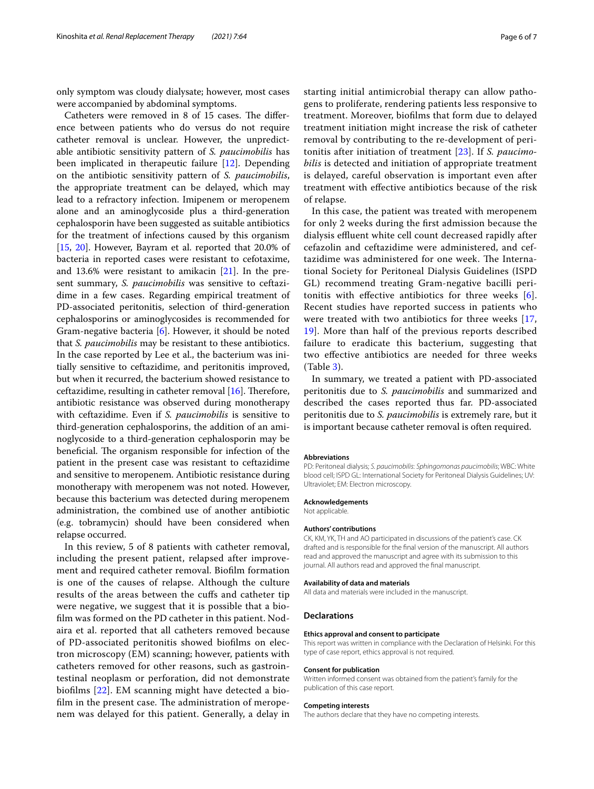only symptom was cloudy dialysate; however, most cases were accompanied by abdominal symptoms.

Catheters were removed in 8 of 15 cases. The difference between patients who do versus do not require catheter removal is unclear. However, the unpredictable antibiotic sensitivity pattern of *S. paucimobilis* has been implicated in therapeutic failure [[12\]](#page-6-12). Depending on the antibiotic sensitivity pattern of *S. paucimobilis*, the appropriate treatment can be delayed, which may lead to a refractory infection. Imipenem or meropenem alone and an aminoglycoside plus a third-generation cephalosporin have been suggested as suitable antibiotics for the treatment of infections caused by this organism [[15,](#page-6-15) [20](#page-6-19)]. However, Bayram et al. reported that 20.0% of bacteria in reported cases were resistant to cefotaxime, and 13.6% were resistant to amikacin [[21\]](#page-6-20). In the present summary, *S. paucimobilis* was sensitive to ceftazidime in a few cases. Regarding empirical treatment of PD-associated peritonitis, selection of third-generation cephalosporins or aminoglycosides is recommended for Gram-negative bacteria [[6\]](#page-6-5). However, it should be noted that *S. paucimobilis* may be resistant to these antibiotics. In the case reported by Lee et al., the bacterium was initially sensitive to ceftazidime, and peritonitis improved, but when it recurred, the bacterium showed resistance to ceftazidime, resulting in catheter removal  $[16]$ . Therefore, antibiotic resistance was observed during monotherapy with ceftazidime. Even if *S. paucimobilis* is sensitive to third-generation cephalosporins, the addition of an aminoglycoside to a third-generation cephalosporin may be beneficial. The organism responsible for infection of the patient in the present case was resistant to ceftazidime and sensitive to meropenem. Antibiotic resistance during monotherapy with meropenem was not noted. However, because this bacterium was detected during meropenem administration, the combined use of another antibiotic (e.g. tobramycin) should have been considered when relapse occurred.

In this review, 5 of 8 patients with catheter removal, including the present patient, relapsed after improvement and required catheter removal. Bioflm formation is one of the causes of relapse. Although the culture results of the areas between the cufs and catheter tip were negative, we suggest that it is possible that a bioflm was formed on the PD catheter in this patient. Nodaira et al. reported that all catheters removed because of PD-associated peritonitis showed bioflms on electron microscopy (EM) scanning; however, patients with catheters removed for other reasons, such as gastrointestinal neoplasm or perforation, did not demonstrate bioflms [\[22](#page-6-21)]. EM scanning might have detected a biofilm in the present case. The administration of meropenem was delayed for this patient. Generally, a delay in starting initial antimicrobial therapy can allow pathogens to proliferate, rendering patients less responsive to treatment. Moreover, bioflms that form due to delayed treatment initiation might increase the risk of catheter removal by contributing to the re-development of peritonitis after initiation of treatment [[23\]](#page-6-22). If *S. paucimobilis* is detected and initiation of appropriate treatment is delayed, careful observation is important even after treatment with efective antibiotics because of the risk of relapse.

In this case, the patient was treated with meropenem for only 2 weeks during the frst admission because the dialysis effluent white cell count decreased rapidly after cefazolin and ceftazidime were administered, and ceftazidime was administered for one week. The International Society for Peritoneal Dialysis Guidelines (ISPD GL) recommend treating Gram-negative bacilli peritonitis with effective antibiotics for three weeks  $[6]$  $[6]$  $[6]$ . Recent studies have reported success in patients who were treated with two antibiotics for three weeks [\[17](#page-6-17), [19\]](#page-6-7). More than half of the previous reports described failure to eradicate this bacterium, suggesting that two efective antibiotics are needed for three weeks (Table [3\)](#page-3-0).

In summary, we treated a patient with PD-associated peritonitis due to *S. paucimobilis* and summarized and described the cases reported thus far. PD-associated peritonitis due to *S. paucimobilis* is extremely rare, but it is important because catheter removal is often required.

#### **Abbreviations**

PD: Peritoneal dialysis; *S. paucimobilis*: *Sphingomonas paucimobilis*; WBC: White blood cell; ISPD GL: International Society for Peritoneal Dialysis Guidelines; UV: Ultraviolet; EM: Electron microscopy.

#### **Acknowledgements**

Not applicable.

#### **Authors' contributions**

CK, KM, YK, TH and AO participated in discussions of the patient's case. CK drafted and is responsible for the fnal version of the manuscript. All authors read and approved the manuscript and agree with its submission to this journal. All authors read and approved the fnal manuscript.

#### **Availability of data and materials**

All data and materials were included in the manuscript.

#### **Declarations**

#### **Ethics approval and consent to participate**

This report was written in compliance with the Declaration of Helsinki. For this type of case report, ethics approval is not required.

#### **Consent for publication**

Written informed consent was obtained from the patient's family for the publication of this case report.

#### **Competing interests**

The authors declare that they have no competing interests.